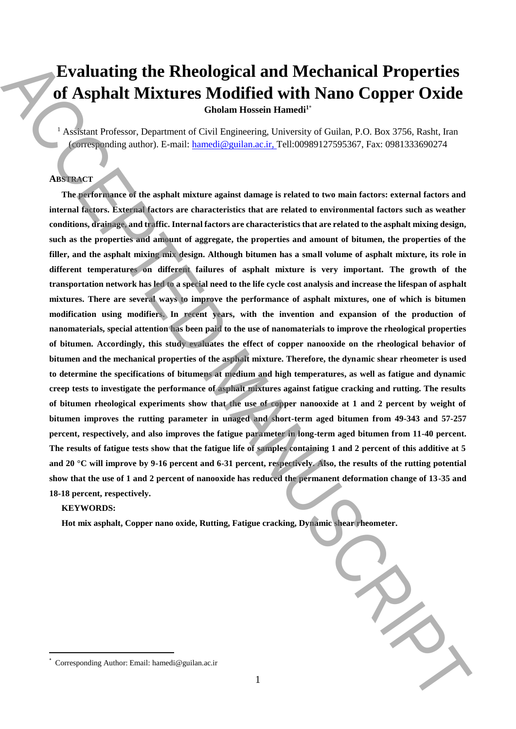# **Evaluating the Rheological and Mechanical Properties of Asphalt Mixtures Modified with Nano Copper Oxide**

**Gholam Hossein Hamedi<sup>1</sup>**\*

<sup>1</sup> Assistant Professor, Department of Civil Engineering, University of Guilan, P.O. Box 3756, Rasht, Iran (corresponding author). E-mail: hamedi@guilan.ac.ir, Tell:00989127595367, Fax: 0981333690274

## **ABSTRACT**

**The performance of the asphalt mixture against damage is related to two main factors: external factors and internal factors. External factors are characteristics that are related to environmental factors such as weather conditions, drainage, and traffic. Internal factors are characteristics that are related to the asphalt mixing design, such as the properties and amount of aggregate, the properties and amount of bitumen, the properties of the filler, and the asphalt mixing mix design. Although bitumen has a small volume of asphalt mixture, its role in different temperatures on different failures of asphalt mixture is very important. The growth of the transportation network has led to a special need to the life cycle cost analysis and increase the lifespan of asphalt mixtures. There are several ways to improve the performance of asphalt mixtures, one of which is bitumen modification using modifiers. In recent years, with the invention and expansion of the production of nanomaterials, special attention has been paid to the use of nanomaterials to improve the rheological properties of bitumen. Accordingly, this study evaluates the effect of copper nanooxide on the rheological behavior of bitumen and the mechanical properties of the asphalt mixture. Therefore, the dynamic shear rheometer is used to determine the specifications of bitumens at medium and high temperatures, as well as fatigue and dynamic creep tests to investigate the performance of asphalt mixtures against fatigue cracking and rutting. The results of bitumen rheological experiments show that the use of copper nanooxide at 1 and 2 percent by weight of bitumen improves the rutting parameter in unaged and short-term aged bitumen from 49-343 and 57-257 percent, respectively, and also improves the fatigue parameter in long-term aged bitumen from 11-40 percent. The results of fatigue tests show that the fatigue life of samples containing 1 and 2 percent of this additive at 5 and 20 °C will improve by 9-16 percent and 6-31 percent, respectively. Also, the results of the rutting potential show that the use of 1 and 2 percent of nanooxide has reduced the permanent deformation change of 13-35 and 18-18 percent, respectively.** Evaluating the Rheological and Mechanical Properties<br>
of Asphali Mixtures Moddifical with Nano Copper Oxide<br>
Column Rossian Rossian (Corresponding Linearisty of Guilan P.O. Box 3756, Radio hamedical and the state of the s

# **KEYWORDS:**

 $\overline{a}$ 

**Hot mix asphalt, Copper nano oxide, Rutting, Fatigue cracking, Dynamic shear rheometer.**

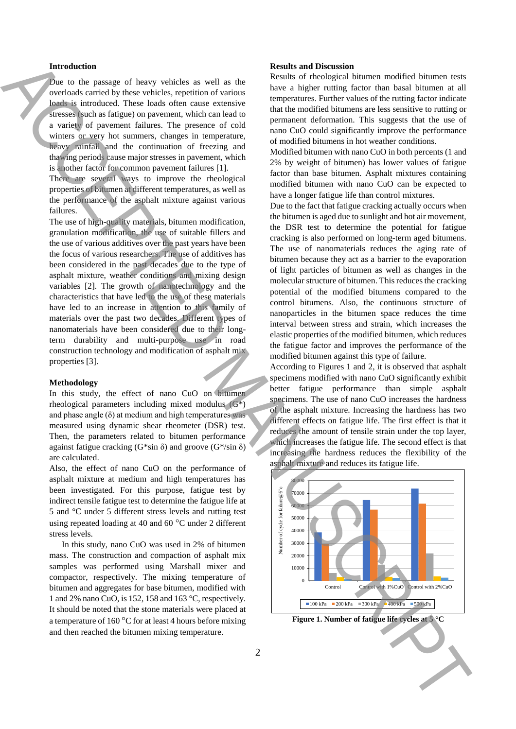#### **Introduction**

Due to the passage of heavy vehicles as well as the overloads carried by these vehicles, repetition of various loads is introduced. These loads often cause extensive stresses (such as fatigue) on pavement, which can lead to a variety of pavement failures. The presence of cold winters or very hot summers, changes in temperature, heavy rainfall and the continuation of freezing and thawing periods cause major stresses in pavement, which is another factor for common pavement failures [1].

There are several ways to improve the rheological properties of bitumen at different temperatures, as well as the performance of the asphalt mixture against various failures.

The use of high-quality materials, bitumen modification, granulation modification, the use of suitable fillers and the use of various additives over the past years have been the focus of various researchers. The use of additives has been considered in the past decades due to the type of asphalt mixture, weather conditions and mixing design variables [2]. The growth of nanotechnology and the characteristics that have led to the use of these materials have led to an increase in attention to this family of materials over the past two decades. Different types of nanomaterials have been considered due to their longterm durability and multi-purpose use in road construction technology and modification of asphalt mix properties [3].

### **Methodology**

In this study, the effect of nano CuO on bitumen rheological parameters including mixed modulus (G\*) and phase angle  $(\delta)$  at medium and high temperatures was measured using dynamic shear rheometer (DSR) test. Then, the parameters related to bitumen performance against fatigue cracking (G\*sin  $\delta$ ) and groove (G\*/sin  $\delta$ ) are calculated.

Also, the effect of nano CuO on the performance of asphalt mixture at medium and high temperatures has been investigated. For this purpose, fatigue test by indirect tensile fatigue test to determine the fatigue life at 5 and °C under 5 different stress levels and rutting test using repeated loading at 40 and 60 °C under 2 different stress levels.

In this study, nano CuO was used in 2% of bitumen mass. The construction and compaction of asphalt mix samples was performed using Marshall mixer and compactor, respectively. The mixing temperature of bitumen and aggregates for base bitumen, modified with 1 and 2% nano CuO, is 152, 158 and 163 °C, respectively. It should be noted that the stone materials were placed at a temperature of 160 °C for at least 4 hours before mixing and then reached the bitumen mixing temperature.

#### **Results and Discussion**

Results of rheological bitumen modified bitumen tests have a higher rutting factor than basal bitumen at all temperatures. Further values of the rutting factor indicate that the modified bitumens are less sensitive to rutting or permanent deformation. This suggests that the use of nano CuO could significantly improve the performance of modified bitumens in hot weather conditions.

Modified bitumen with nano CuO in both percents (1 and 2% by weight of bitumen) has lower values of fatigue factor than base bitumen. Asphalt mixtures containing modified bitumen with nano CuO can be expected to have a longer fatigue life than control mixtures.

Due to the fact that fatigue cracking actually occurs when the bitumen is aged due to sunlight and hot air movement, the DSR test to determine the potential for fatigue cracking is also performed on long-term aged bitumens. The use of nanomaterials reduces the aging rate of bitumen because they act as a barrier to the evaporation of light particles of bitumen as well as changes in the molecular structure of bitumen. This reduces the cracking potential of the modified bitumens compared to the control bitumens. Also, the continuous structure of nanoparticles in the bitumen space reduces the time interval between stress and strain, which increases the elastic properties of the modified bitumen, which reduces the fatigue factor and improves the performance of the modified bitumen against this type of failure. The second strengthenial state is not the the second state in the second state in the second state in the second state in the second state is not the second state in the second state in the second state is not the second

According to Figures 1 and 2, it is observed that asphalt specimens modified with nano CuO significantly exhibit better fatigue performance than simple asphalt specimens. The use of nano CuO increases the hardness of the asphalt mixture. Increasing the hardness has two different effects on fatigue life. The first effect is that it reduces the amount of tensile strain under the top layer, which increases the fatigue life. The second effect is that increasing the hardness reduces the flexibility of the asphalt mixture and reduces its fatigue life.



**Figure 1. Number of fatigue life cycles at 5 °C**